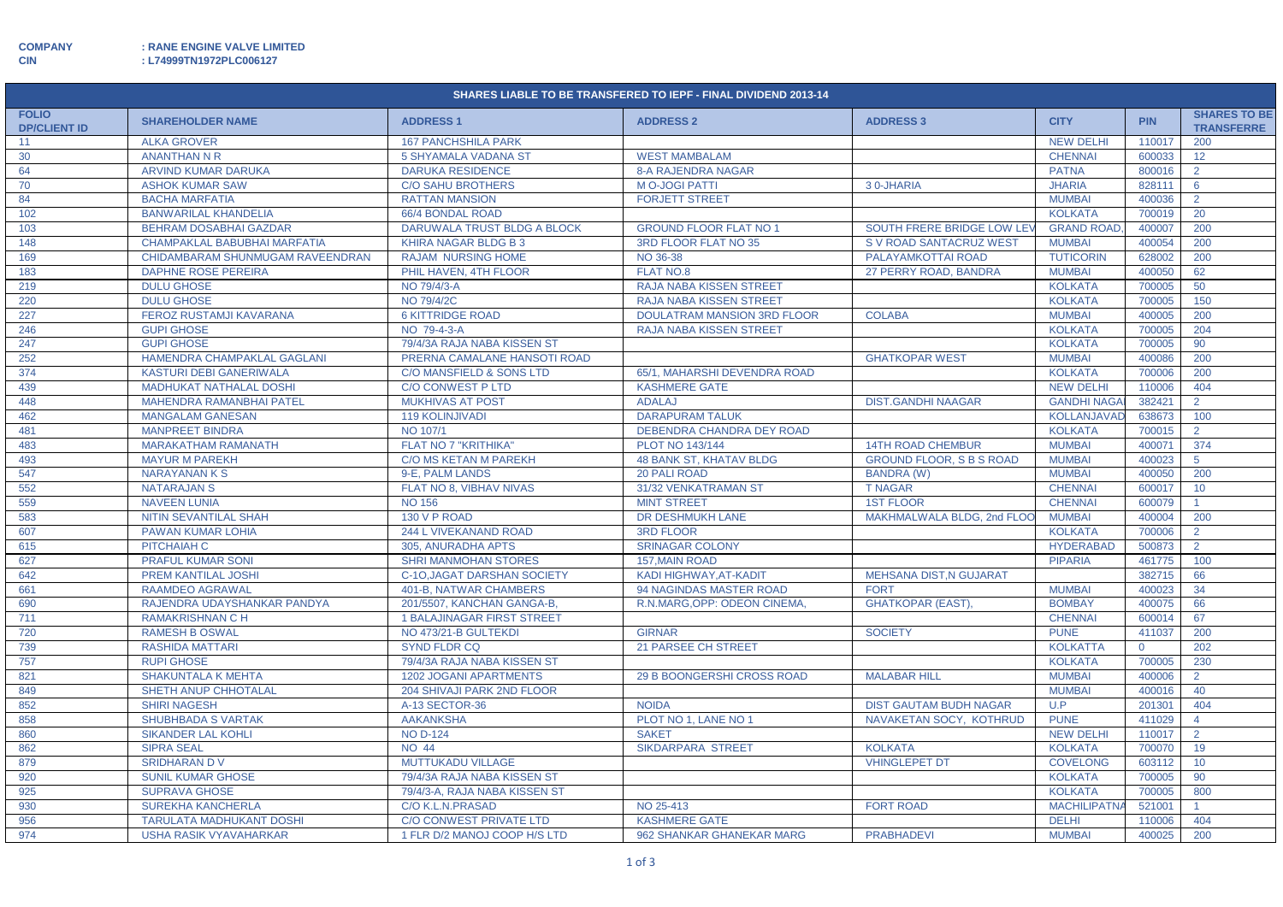**CIN : L74999TN1972PLC006127**

| SHARES LIABLE TO BE TRANSFERED TO IEPF - FINAL DIVIDEND 2013-14 |                                                                   |                                                      |                                                     |                                 |                                          |                  |                                          |  |  |
|-----------------------------------------------------------------|-------------------------------------------------------------------|------------------------------------------------------|-----------------------------------------------------|---------------------------------|------------------------------------------|------------------|------------------------------------------|--|--|
| <b>FOLIO</b><br><b>DP/CLIENT ID</b>                             | <b>SHAREHOLDER NAME</b>                                           | <b>ADDRESS1</b>                                      | <b>ADDRESS 2</b>                                    | <b>ADDRESS 3</b>                | <b>CITY</b>                              | <b>PIN</b>       | <b>SHARES TO BE</b><br><b>TRANSFERRE</b> |  |  |
| 11                                                              | <b>ALKA GROVER</b>                                                | <b>167 PANCHSHILA PARK</b>                           |                                                     |                                 | <b>NEW DELHI</b>                         | 110017           | 200                                      |  |  |
| 30                                                              | <b>ANANTHAN N R</b>                                               | 5 SHYAMALA VADANA ST                                 | <b>WEST MAMBALAM</b>                                |                                 | <b>CHENNAI</b>                           | 600033           | 12 <sup>2</sup>                          |  |  |
| 64                                                              | ARVIND KUMAR DARUKA                                               | <b>DARUKA RESIDENCE</b>                              | <b>8-A RAJENDRA NAGAR</b>                           |                                 | <b>PATNA</b>                             | 800016           | $\overline{2}$                           |  |  |
| 70                                                              | <b>ASHOK KUMAR SAW</b>                                            | <b>C/O SAHU BROTHERS</b>                             | <b>MO-JOGI PATTI</b>                                | 30-JHARIA                       | <b>JHARIA</b>                            | 828111           | 6                                        |  |  |
| 84                                                              | <b>BACHA MARFATIA</b>                                             | <b>RATTAN MANSION</b>                                | <b>FORJETT STREET</b>                               |                                 | <b>MUMBAI</b>                            | 400036           | $\overline{2}$                           |  |  |
| 102                                                             | <b>BANWARILAL KHANDELIA</b>                                       | 66/4 BONDAL ROAD                                     |                                                     |                                 | <b>KOLKATA</b>                           | 700019           | 20                                       |  |  |
| 103                                                             | <b>BEHRAM DOSABHAI GAZDAR</b>                                     | DARUWALA TRUST BLDG A BLOCK                          | <b>GROUND FLOOR FLAT NO 1</b>                       | SOUTH FRERE BRIDGE LOW LEY      | <b>GRAND ROAD,</b>                       | 400007           | 200                                      |  |  |
| 148                                                             | CHAMPAKLAL BABUBHAI MARFATIA                                      | <b>KHIRA NAGAR BLDG B 3</b>                          | 3RD FLOOR FLAT NO 35                                | S V ROAD SANTACRUZ WEST         | <b>MUMBAI</b>                            | 400054           | 200                                      |  |  |
| 169                                                             | CHIDAMBARAM SHUNMUGAM RAVEENDRAN                                  | <b>RAJAM NURSING HOME</b>                            | NO 36-38                                            | PALAYAMKOTTAI ROAD              | <b>TUTICORIN</b>                         | 628002           | 200                                      |  |  |
| 183                                                             | <b>DAPHNE ROSE PEREIRA</b>                                        | PHIL HAVEN, 4TH FLOOR                                | <b>FLAT NO.8</b>                                    | 27 PERRY ROAD, BANDRA           | <b>MUMBAI</b>                            | 400050           | 62                                       |  |  |
| 219                                                             | <b>DULU GHOSE</b>                                                 | NO 79/4/3-A                                          | RAJA NABA KISSEN STREET                             |                                 | <b>KOLKATA</b>                           | 700005           | 50                                       |  |  |
| 220                                                             | <b>DULU GHOSE</b>                                                 | NO 79/4/2C                                           | <b>RAJA NABA KISSEN STREET</b>                      |                                 | <b>KOLKATA</b>                           | 700005           | 150                                      |  |  |
| 227                                                             | <b>FEROZ RUSTAMJI KAVARANA</b>                                    | <b>6 KITTRIDGE ROAD</b>                              | <b>DOULATRAM MANSION 3RD FLOOR</b>                  | <b>COLABA</b>                   | <b>MUMBAI</b>                            | 400005           | 200                                      |  |  |
| 246                                                             | <b>GUPI GHOSE</b>                                                 | NO 79-4-3-A                                          | RAJA NABA KISSEN STREET                             |                                 | <b>KOLKATA</b>                           | 700005           | 204                                      |  |  |
| 247                                                             | <b>GUPI GHOSE</b>                                                 | 79/4/3A RAJA NABA KISSEN ST                          |                                                     |                                 | <b>KOLKATA</b>                           | 700005           | 90                                       |  |  |
| 252                                                             | HAMENDRA CHAMPAKLAL GAGLANI                                       | PRERNA CAMALANE HANSOTI ROAD                         |                                                     | <b>GHATKOPAR WEST</b>           | <b>MUMBAI</b>                            | 400086           | 200                                      |  |  |
| 374                                                             | KASTURI DEBI GANERIWALA                                           | C/O MANSFIELD & SONS LTD<br><b>C/O CONWEST P LTD</b> | 65/1, MAHARSHI DEVENDRA ROAD                        |                                 | <b>KOLKATA</b><br><b>NEW DELHI</b>       | 700006<br>110006 | 200<br>404                               |  |  |
| 439<br>448                                                      | <b>MADHUKAT NATHALAL DOSHI</b><br><b>MAHENDRA RAMANBHAI PATEL</b> | <b>MUKHIVAS AT POST</b>                              | <b>KASHMERE GATE</b><br><b>ADALAJ</b>               | <b>DIST.GANDHI NAAGAR</b>       |                                          | 382421           | $\overline{2}$                           |  |  |
|                                                                 | <b>MANGALAM GANESAN</b>                                           | <b>119 KOLINJIVADI</b>                               | <b>DARAPURAM TALUK</b>                              |                                 | <b>GANDHI NAGA</b><br><b>KOLLANJAVAD</b> | 638673           | 100                                      |  |  |
| 462                                                             |                                                                   | NO 107/1                                             |                                                     |                                 |                                          |                  | $\overline{2}$                           |  |  |
| 481<br>483                                                      | <b>MANPREET BINDRA</b><br><b>MARAKATHAM RAMANATH</b>              | FLAT NO 7 "KRITHIKA"                                 | DEBENDRA CHANDRA DEY ROAD<br><b>PLOT NO 143/144</b> | <b>14TH ROAD CHEMBUR</b>        | <b>KOLKATA</b><br><b>MUMBAI</b>          | 700015<br>400071 | 374                                      |  |  |
|                                                                 | <b>MAYUR M PAREKH</b>                                             | <b>C/O MS KETAN M PAREKH</b>                         | <b>48 BANK ST, KHATAV BLDG</b>                      | <b>GROUND FLOOR. S B S ROAD</b> | <b>MUMBAI</b>                            | 400023           | $5^{\circ}$                              |  |  |
| 493<br>547                                                      | <b>NARAYANANKS</b>                                                | 9-E, PALM LANDS                                      | <b>20 PALI ROAD</b>                                 | <b>BANDRA (W)</b>               | <b>MUMBAI</b>                            | 400050           | 200                                      |  |  |
| 552                                                             | <b>NATARAJAN S</b>                                                | FLAT NO 8, VIBHAV NIVAS                              | 31/32 VENKATRAMAN ST                                | <b>T NAGAR</b>                  | <b>CHENNAI</b>                           | 600017           | 10 <sup>°</sup>                          |  |  |
| 559                                                             | <b>NAVEEN LUNIA</b>                                               | <b>NO 156</b>                                        | <b>MINT STREET</b>                                  | <b>1ST FLOOR</b>                | <b>CHENNAI</b>                           | 600079           |                                          |  |  |
| 583                                                             | <b>NITIN SEVANTILAL SHAH</b>                                      | 130 V P ROAD                                         | DR DESHMUKH LANE                                    | MAKHMALWALA BLDG, 2nd FLOO      | <b>MUMBAI</b>                            | 400004           | 200                                      |  |  |
| 607                                                             | PAWAN KUMAR LOHIA                                                 | 244 L VIVEKANAND ROAD                                | <b>3RD FLOOR</b>                                    |                                 | <b>KOLKATA</b>                           | 700006           | $\overline{2}$                           |  |  |
| 615                                                             | PITCHAIAH C                                                       | 305, ANURADHA APTS                                   | <b>SRINAGAR COLONY</b>                              |                                 | <b>HYDERABAD</b>                         | 500873           | $\overline{2}$                           |  |  |
| 627                                                             | <b>PRAFUL KUMAR SONI</b>                                          | <b>SHRI MANMOHAN STORES</b>                          | 157, MAIN ROAD                                      |                                 | <b>PIPARIA</b>                           | 461775           | 100                                      |  |  |
| 642                                                             | PREM KANTILAL JOSHI                                               | C-10, JAGAT DARSHAN SOCIETY                          | KADI HIGHWAY, AT-KADIT                              | <b>MEHSANA DIST, N GUJARAT</b>  |                                          | 382715           | 66                                       |  |  |
| 661                                                             | <b>RAAMDEO AGRAWAL</b>                                            | <b>401-B. NATWAR CHAMBERS</b>                        | 94 NAGINDAS MASTER ROAD                             | <b>FORT</b>                     | <b>MUMBAI</b>                            | 400023           | 34                                       |  |  |
| 690                                                             | RAJENDRA UDAYSHANKAR PANDYA                                       | 201/5507, KANCHAN GANGA-B,                           | R.N.MARG, OPP: ODEON CINEMA                         | <b>GHATKOPAR (EAST)</b>         | <b>BOMBAY</b>                            | 400075           | 66                                       |  |  |
| 711                                                             | <b>RAMAKRISHNAN C H</b>                                           | <b>1 BALAJINAGAR FIRST STREET</b>                    |                                                     |                                 | <b>CHENNAI</b>                           | 600014           | 67                                       |  |  |
| 720                                                             | <b>RAMESH B OSWAL</b>                                             | NO 473/21-B GULTEKDI                                 | <b>GIRNAR</b>                                       | <b>SOCIETY</b>                  | <b>PUNE</b>                              | 411037           | 200                                      |  |  |
| 739                                                             | <b>RASHIDA MATTARI</b>                                            | SYND FLDR CQ                                         | 21 PARSEE CH STREET                                 |                                 | <b>KOLKATTA</b>                          | $\overline{0}$   | 202                                      |  |  |
| 757                                                             | <b>RUPI GHOSE</b>                                                 | 79/4/3A RAJA NABA KISSEN ST                          |                                                     |                                 | <b>KOLKATA</b>                           | 700005           | 230                                      |  |  |
| 821                                                             | <b>SHAKUNTALA K MEHTA</b>                                         | <b>1202 JOGANI APARTMENTS</b>                        | 29 B BOONGERSHI CROSS ROAD                          | <b>MALABAR HILL</b>             | <b>MUMBAI</b>                            | 400006           | $\overline{2}$                           |  |  |
| 849                                                             | SHETH ANUP CHHOTALAL                                              | 204 SHIVAJI PARK 2ND FLOOR                           |                                                     |                                 | <b>MUMBAI</b>                            | 400016           | 40                                       |  |  |
| 852                                                             | <b>SHIRI NAGESH</b>                                               | A-13 SECTOR-36                                       | <b>NOIDA</b>                                        | <b>DIST GAUTAM BUDH NAGAR</b>   | U.P                                      | 201301           | 404                                      |  |  |
| 858                                                             | SHUBHBADA S VARTAK                                                | <b>AAKANKSHA</b>                                     | PLOT NO 1, LANE NO 1                                | NAVAKETAN SOCY, KOTHRUD         | <b>PUNE</b>                              | 411029           | $\overline{4}$                           |  |  |
| 860                                                             | <b>SIKANDER LAL KOHLI</b>                                         | <b>NO D-124</b>                                      | <b>SAKET</b>                                        |                                 | <b>NEW DELHI</b>                         | 110017           | $\overline{2}$                           |  |  |
| 862                                                             | <b>SIPRA SEAL</b>                                                 | <b>NO 44</b>                                         | <b>SIKDARPARA STREET</b>                            | <b>KOLKATA</b>                  | <b>KOLKATA</b>                           | 700070           | 19                                       |  |  |
| 879                                                             | <b>SRIDHARAN DV</b>                                               | MUTTUKADU VILLAGE                                    |                                                     | <b>VHINGLEPET DT</b>            | <b>COVELONG</b>                          | 603112           | 10 <sup>°</sup>                          |  |  |
| 920                                                             | <b>SUNIL KUMAR GHOSE</b>                                          | 79/4/3A RAJA NABA KISSEN ST                          |                                                     |                                 | <b>KOLKATA</b>                           | 700005           | 90                                       |  |  |
| 925                                                             | <b>SUPRAVA GHOSE</b>                                              | 79/4/3-A, RAJA NABA KISSEN ST                        |                                                     |                                 | <b>KOLKATA</b>                           | 700005           | 800                                      |  |  |
| 930                                                             | <b>SUREKHA KANCHERLA</b>                                          | C/O K.L.N.PRASAD                                     | NO 25-413                                           | <b>FORT ROAD</b>                | <b>MACHILIPATNA</b>                      | 521001           |                                          |  |  |
| 956                                                             | <b>TARULATA MADHUKANT DOSHI</b>                                   | <b>C/O CONWEST PRIVATE LTD</b>                       | <b>KASHMERE GATE</b>                                |                                 | <b>DELHI</b>                             | 110006           | 404                                      |  |  |
| 974                                                             | <b>USHA RASIK VYAVAHARKAR</b>                                     | 1 FLR D/2 MANOJ COOP H/S LTD                         | 962 SHANKAR GHANEKAR MARG                           | <b>PRABHADEVI</b>               | <b>MUMBAI</b>                            | 400025           | 200                                      |  |  |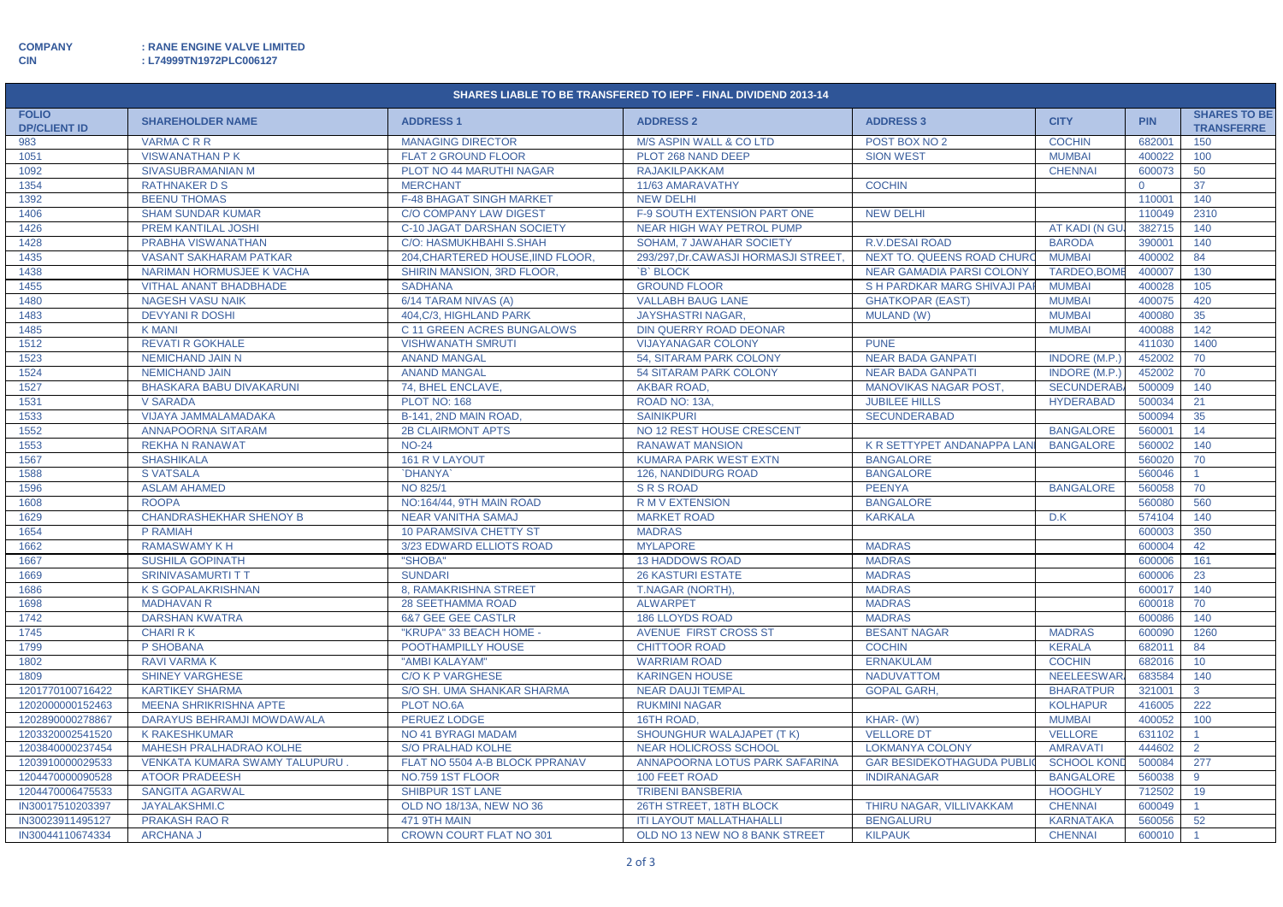**CIN : L74999TN1972PLC006127**

| SHARES LIABLE TO BE TRANSFERED TO IEPF - FINAL DIVIDEND 2013-14 |                                      |                                   |                                     |                                   |                      |            |                                          |  |  |
|-----------------------------------------------------------------|--------------------------------------|-----------------------------------|-------------------------------------|-----------------------------------|----------------------|------------|------------------------------------------|--|--|
| <b>FOLIO</b><br><b>DP/CLIENT ID</b>                             | <b>SHAREHOLDER NAME</b>              | <b>ADDRESS 1</b>                  | <b>ADDRESS 2</b>                    | <b>ADDRESS 3</b>                  | <b>CITY</b>          | <b>PIN</b> | <b>SHARES TO BE</b><br><b>TRANSFERRE</b> |  |  |
| 983                                                             | <b>VARMACRR</b>                      | <b>MANAGING DIRECTOR</b>          | <b>M/S ASPIN WALL &amp; CO LTD</b>  | POST BOX NO 2                     | <b>COCHIN</b>        | 682001     | 150                                      |  |  |
| 1051                                                            | <b>VISWANATHAN PK</b>                | <b>FLAT 2 GROUND FLOOR</b>        | PLOT 268 NAND DEEP                  | <b>SION WEST</b>                  | <b>MUMBAI</b>        | 400022     | 100                                      |  |  |
| 1092                                                            | SIVASUBRAMANIAN M                    | PLOT NO 44 MARUTHI NAGAR          | <b>RAJAKILPAKKAM</b>                |                                   | <b>CHENNAI</b>       | 600073     | 50                                       |  |  |
| 1354                                                            | <b>RATHNAKER D S</b>                 | <b>MERCHANT</b>                   | 11/63 AMARAVATHY                    | <b>COCHIN</b>                     |                      | $\Omega$   | 37                                       |  |  |
| 1392                                                            | <b>BEENU THOMAS</b>                  | <b>F-48 BHAGAT SINGH MARKET</b>   | <b>NEW DELHI</b>                    |                                   |                      | 110001     | 140                                      |  |  |
| 1406                                                            | <b>SHAM SUNDAR KUMAR</b>             | <b>C/O COMPANY LAW DIGEST</b>     | F-9 SOUTH EXTENSION PART ONE        | <b>NEW DELHI</b>                  |                      | 110049     | 2310                                     |  |  |
| 1426                                                            | PREM KANTILAL JOSHI                  | C-10 JAGAT DARSHAN SOCIETY        | <b>NEAR HIGH WAY PETROL PUMP</b>    |                                   | AT KADI (N GU        | 382715     | 140                                      |  |  |
| 1428                                                            | PRABHA VISWANATHAN                   | C/O: HASMUKHBAHI S.SHAH           | SOHAM, 7 JAWAHAR SOCIETY            | <b>R.V.DESAI ROAD</b>             | <b>BARODA</b>        | 390001     | 140                                      |  |  |
| 1435                                                            | <b>VASANT SAKHARAM PATKAR</b>        | 204, CHARTERED HOUSE, IIND FLOOR, | 293/297.Dr.CAWASJI HORMASJI STREET. | NEXT TO. QUEENS ROAD CHURC        | <b>MUMBAI</b>        | 400002     | 84                                       |  |  |
| 1438                                                            | NARIMAN HORMUSJEE K VACHA            | <b>SHIRIN MANSION, 3RD FLOOR.</b> | <b>B</b> BLOCK                      | <b>NEAR GAMADIA PARSI COLONY</b>  | TARDEO, BOME         | 400007     | 130                                      |  |  |
| 1455                                                            | <b>VITHAL ANANT BHADBHADE</b>        | <b>SADHANA</b>                    | <b>GROUND FLOOR</b>                 | S H PARDKAR MARG SHIVAJI PAR      | <b>MUMBAI</b>        | 400028     | 105                                      |  |  |
| 1480                                                            | <b>NAGESH VASU NAIK</b>              | 6/14 TARAM NIVAS (A)              | <b>VALLABH BAUG LANE</b>            | <b>GHATKOPAR (EAST)</b>           | <b>MUMBAI</b>        | 400075     | 420                                      |  |  |
| 1483                                                            | <b>DEVYANI R DOSHI</b>               | 404.C/3. HIGHLAND PARK            | <b>JAYSHASTRI NAGAR</b>             | <b>MULAND (W)</b>                 | <b>MUMBAI</b>        | 400080     | 35                                       |  |  |
| 1485                                                            | <b>K MANI</b>                        | C 11 GREEN ACRES BUNGALOWS        | DIN QUERRY ROAD DEONAR              |                                   | <b>MUMBAI</b>        | 400088     | 142                                      |  |  |
| 1512                                                            | <b>REVATI R GOKHALE</b>              | <b>VISHWANATH SMRUTI</b>          | <b>VIJAYANAGAR COLONY</b>           | <b>PUNE</b>                       |                      | 411030     | 1400                                     |  |  |
| 1523                                                            | <b>NEMICHAND JAIN N</b>              | <b>ANAND MANGAL</b>               | 54, SITARAM PARK COLONY             | <b>NEAR BADA GANPATI</b>          | <b>INDORE (M.P.)</b> | 452002     | 70                                       |  |  |
| 1524                                                            | <b>NEMICHAND JAIN</b>                | <b>ANAND MANGAL</b>               | <b>54 SITARAM PARK COLONY</b>       | <b>NEAR BADA GANPATI</b>          | <b>INDORE (M.P.)</b> | 452002     | 70                                       |  |  |
| 1527                                                            | <b>BHASKARA BABU DIVAKARUNI</b>      | 74, BHEL ENCLAVE,                 | <b>AKBAR ROAD,</b>                  | <b>MANOVIKAS NAGAR POST,</b>      | <b>SECUNDERAB</b>    | 500009     | 140                                      |  |  |
| 1531                                                            | <b>V SARADA</b>                      | <b>PLOT NO: 168</b>               | ROAD NO: 13A,                       | <b>JUBILEE HILLS</b>              | <b>HYDERABAD</b>     | 500034     | 21                                       |  |  |
| 1533                                                            | VIJAYA JAMMALAMADAKA                 | B-141, 2ND MAIN ROAD              | <b>SAINIKPURI</b>                   | <b>SECUNDERABAD</b>               |                      | 500094     | 35                                       |  |  |
| 1552                                                            | <b>ANNAPOORNA SITARAM</b>            | <b>2B CLAIRMONT APTS</b>          | NO 12 REST HOUSE CRESCENT           |                                   | <b>BANGALORE</b>     | 560001     | 14                                       |  |  |
| 1553                                                            | <b>REKHA N RANAWAT</b>               | <b>NO-24</b>                      | <b>RANAWAT MANSION</b>              | K R SETTYPET ANDANAPPA LAN        | <b>BANGALORE</b>     | 560002     | 140                                      |  |  |
| 1567                                                            | <b>SHASHIKALA</b>                    | 161 R V LAYOUT                    | <b>KUMARA PARK WEST EXTN</b>        | <b>BANGALORE</b>                  |                      | 560020     | 70                                       |  |  |
| 1588                                                            | <b>S VATSALA</b>                     | `DHANYA`                          | <b>126, NANDIDURG ROAD</b>          | <b>BANGALORE</b>                  |                      | 560046     | $\mathbf{1}$                             |  |  |
| 1596                                                            | <b>ASLAM AHAMED</b>                  | NO 825/1                          | <b>SRS ROAD</b>                     | <b>PEENYA</b>                     | <b>BANGALORE</b>     | 560058     | 70                                       |  |  |
| 1608                                                            | <b>ROOPA</b>                         | NO:164/44, 9TH MAIN ROAD          | <b>RMVEXTENSION</b>                 | <b>BANGALORE</b>                  |                      | 560080     | 560                                      |  |  |
| 1629                                                            | <b>CHANDRASHEKHAR SHENOY B</b>       | <b>NEAR VANITHA SAMAJ</b>         | <b>MARKET ROAD</b>                  | <b>KARKALA</b>                    | D.K                  | 574104     | 140                                      |  |  |
| 1654                                                            | P RAMIAH                             | <b>10 PARAMSIVA CHETTY ST</b>     | <b>MADRAS</b>                       |                                   |                      | 600003     | 350                                      |  |  |
| 1662                                                            | <b>RAMASWAMY K H</b>                 | 3/23 EDWARD ELLIOTS ROAD          | <b>MYLAPORE</b>                     | <b>MADRAS</b>                     |                      | 600004     | 42                                       |  |  |
| 1667                                                            | <b>SUSHILA GOPINATH</b>              | "SHOBA"                           | <b>13 HADDOWS ROAD</b>              | <b>MADRAS</b>                     |                      | 600006     | 161                                      |  |  |
| 1669                                                            | <b>SRINIVASAMURTI T T</b>            | <b>SUNDARI</b>                    | <b>26 KASTURI ESTATE</b>            | <b>MADRAS</b>                     |                      | 600006     | 23                                       |  |  |
| 1686                                                            | K S GOPALAKRISHNAN                   | 8, RAMAKRISHNA STREET             | T.NAGAR (NORTH).                    | <b>MADRAS</b>                     |                      | 600017     | 140                                      |  |  |
| 1698                                                            | <b>MADHAVAN R</b>                    | <b>28 SEETHAMMA ROAD</b>          | <b>ALWARPET</b>                     | <b>MADRAS</b>                     |                      | 600018     | 70                                       |  |  |
| 1742                                                            | <b>DARSHAN KWATRA</b>                | <b>6&amp;7 GEE GEE CASTLR</b>     | <b>186 LLOYDS ROAD</b>              | <b>MADRAS</b>                     |                      | 600086     | 140                                      |  |  |
| 1745                                                            | <b>CHARI RK</b>                      | "KRUPA" 33 BEACH HOME -           | AVENUE FIRST CROSS ST               | <b>BESANT NAGAR</b>               | <b>MADRAS</b>        | 600090     | 1260                                     |  |  |
| 1799                                                            | P SHOBANA                            | POOTHAMPILLY HOUSE                | <b>CHITTOOR ROAD</b>                | <b>COCHIN</b>                     | <b>KERALA</b>        | 682011     | 84                                       |  |  |
| 1802                                                            | <b>RAVI VARMA K</b>                  | "AMBI KALAYAM"                    | <b>WARRIAM ROAD</b>                 | <b>ERNAKULAM</b>                  | <b>COCHIN</b>        | 682016     | 10 <sup>°</sup>                          |  |  |
| 1809                                                            | <b>SHINEY VARGHESE</b>               | <b>C/O K P VARGHESE</b>           | <b>KARINGEN HOUSE</b>               | <b>NADUVATTOM</b>                 | <b>NEELEESWAR</b>    | 683584     | 140                                      |  |  |
| 1201770100716422                                                | <b>KARTIKEY SHARMA</b>               | S/O SH. UMA SHANKAR SHARMA        | <b>NEAR DAUJI TEMPAL</b>            | <b>GOPAL GARH,</b>                | <b>BHARATPUR</b>     | 321001     | $\mathbf{3}$                             |  |  |
| 1202000000152463                                                | <b>MEENA SHRIKRISHNA APTE</b>        | PLOT NO.6A                        | <b>RUKMINI NAGAR</b>                |                                   | <b>KOLHAPUR</b>      | 416005     | 222                                      |  |  |
| 1202890000278867                                                | DARAYUS BEHRAMJI MOWDAWALA           | <b>PERUEZ LODGE</b>               | 16TH ROAD,                          | KHAR-(W)                          | <b>MUMBAI</b>        | 400052     | 100                                      |  |  |
| 1203320002541520                                                | <b>K RAKESHKUMAR</b>                 | NO 41 BYRAGI MADAM                | SHOUNGHUR WALAJAPET (TK)            | <b>VELLORE DT</b>                 | <b>VELLORE</b>       | 631102     | $\mathbf{1}$                             |  |  |
| 1203840000237454                                                | MAHESH PRALHADRAO KOLHE              | <b>S/O PRALHAD KOLHE</b>          | <b>NEAR HOLICROSS SCHOOL</b>        | <b>LOKMANYA COLONY</b>            | <b>AMRAVATI</b>      | 444602     | $\overline{2}$                           |  |  |
| 1203910000029533                                                | <b>VENKATA KUMARA SWAMY TALUPURU</b> | FLAT NO 5504 A-B BLOCK PPRANAV    | ANNAPOORNA LOTUS PARK SAFARINA      | <b>GAR BESIDEKOTHAGUDA PUBLIC</b> | <b>SCHOOL KOND</b>   | 500084     | 277                                      |  |  |
| 1204470000090528                                                | <b>ATOOR PRADEESH</b>                | NO.759 1ST FLOOR                  | 100 FEET ROAD                       | <b>INDIRANAGAR</b>                | <b>BANGALORE</b>     | 560038     | 9                                        |  |  |
| 1204470006475533                                                | <b>SANGITA AGARWAL</b>               | <b>SHIBPUR 1ST LANE</b>           | <b>TRIBENI BANSBERIA</b>            |                                   | <b>HOOGHLY</b>       | 712502     | 19                                       |  |  |
| IN30017510203397                                                | JAYALAKSHMI.C                        | OLD NO 18/13A, NEW NO 36          | 26TH STREET, 18TH BLOCK             | THIRU NAGAR, VILLIVAKKAM          | <b>CHENNAI</b>       | 600049     | $\mathbf{1}$                             |  |  |
| IN30023911495127                                                | <b>PRAKASH RAO R</b>                 | 471 9TH MAIN                      | <b>ITI LAYOUT MALLATHAHALLI</b>     | <b>BENGALURU</b>                  | <b>KARNATAKA</b>     | 560056     | 52                                       |  |  |
| IN30044110674334                                                | <b>ARCHANA J</b>                     | <b>CROWN COURT FLAT NO 301</b>    | OLD NO 13 NEW NO 8 BANK STREET      | <b>KILPAUK</b>                    | <b>CHENNAI</b>       | 600010     | $\blacktriangleleft$                     |  |  |
|                                                                 |                                      |                                   |                                     |                                   |                      |            |                                          |  |  |